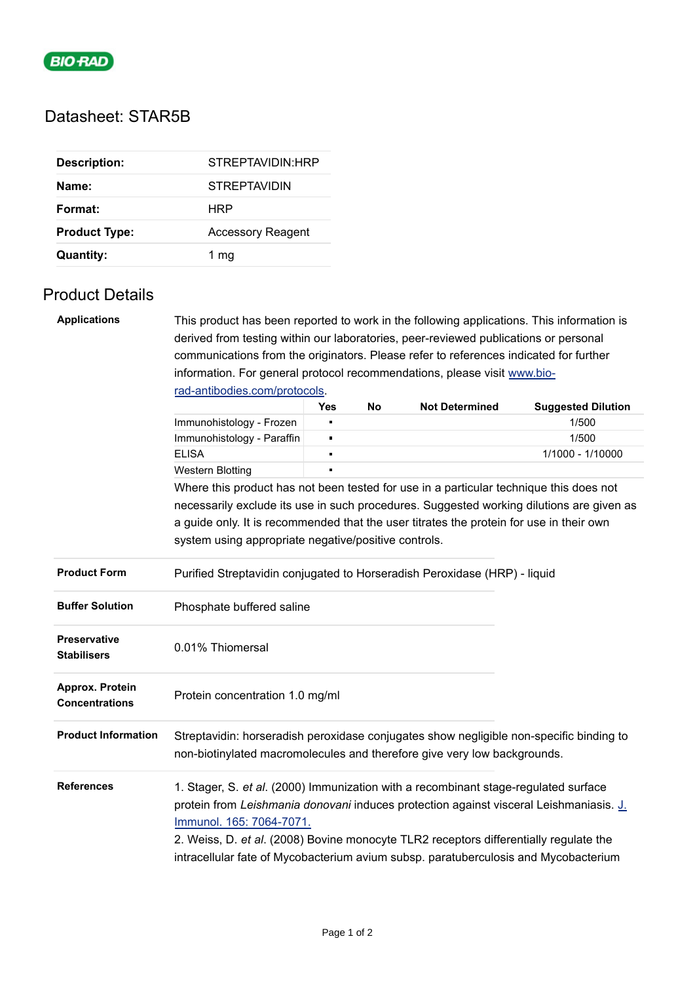

# Datasheet: STAR5B

| <b>Description:</b>  | STREPTAVIDIN: HRP        |
|----------------------|--------------------------|
| Name:                | <b>STREPTAVIDIN</b>      |
| Format:              | HRP                      |
| <b>Product Type:</b> | <b>Accessory Reagent</b> |
| <b>Quantity:</b>     | 1 mg                     |

## Product Details

| <b>Applications</b><br>This product has been reported to work in the following applications. This information is |                                                                                                                                                                                                                                                                                                                                                                                           |                |    |                       |                           |  |  |
|------------------------------------------------------------------------------------------------------------------|-------------------------------------------------------------------------------------------------------------------------------------------------------------------------------------------------------------------------------------------------------------------------------------------------------------------------------------------------------------------------------------------|----------------|----|-----------------------|---------------------------|--|--|
|                                                                                                                  | derived from testing within our laboratories, peer-reviewed publications or personal                                                                                                                                                                                                                                                                                                      |                |    |                       |                           |  |  |
|                                                                                                                  | communications from the originators. Please refer to references indicated for further                                                                                                                                                                                                                                                                                                     |                |    |                       |                           |  |  |
|                                                                                                                  | information. For general protocol recommendations, please visit www.bio-<br>rad-antibodies.com/protocols.                                                                                                                                                                                                                                                                                 |                |    |                       |                           |  |  |
|                                                                                                                  |                                                                                                                                                                                                                                                                                                                                                                                           |                |    |                       |                           |  |  |
|                                                                                                                  |                                                                                                                                                                                                                                                                                                                                                                                           | <b>Yes</b>     | No | <b>Not Determined</b> | <b>Suggested Dilution</b> |  |  |
|                                                                                                                  | Immunohistology - Frozen                                                                                                                                                                                                                                                                                                                                                                  |                |    |                       | 1/500                     |  |  |
|                                                                                                                  | Immunohistology - Paraffin                                                                                                                                                                                                                                                                                                                                                                | $\blacksquare$ |    |                       | 1/500                     |  |  |
|                                                                                                                  | <b>ELISA</b>                                                                                                                                                                                                                                                                                                                                                                              |                |    |                       | 1/1000 - 1/10000          |  |  |
|                                                                                                                  | <b>Western Blotting</b>                                                                                                                                                                                                                                                                                                                                                                   |                |    |                       |                           |  |  |
|                                                                                                                  | Where this product has not been tested for use in a particular technique this does not                                                                                                                                                                                                                                                                                                    |                |    |                       |                           |  |  |
|                                                                                                                  | necessarily exclude its use in such procedures. Suggested working dilutions are given as                                                                                                                                                                                                                                                                                                  |                |    |                       |                           |  |  |
|                                                                                                                  | a guide only. It is recommended that the user titrates the protein for use in their own                                                                                                                                                                                                                                                                                                   |                |    |                       |                           |  |  |
|                                                                                                                  | system using appropriate negative/positive controls.                                                                                                                                                                                                                                                                                                                                      |                |    |                       |                           |  |  |
| <b>Product Form</b>                                                                                              | Purified Streptavidin conjugated to Horseradish Peroxidase (HRP) - liquid                                                                                                                                                                                                                                                                                                                 |                |    |                       |                           |  |  |
| <b>Buffer Solution</b>                                                                                           | Phosphate buffered saline                                                                                                                                                                                                                                                                                                                                                                 |                |    |                       |                           |  |  |
| <b>Preservative</b><br><b>Stabilisers</b>                                                                        | 0.01% Thiomersal                                                                                                                                                                                                                                                                                                                                                                          |                |    |                       |                           |  |  |
| Approx. Protein<br><b>Concentrations</b>                                                                         | Protein concentration 1.0 mg/ml                                                                                                                                                                                                                                                                                                                                                           |                |    |                       |                           |  |  |
| <b>Product Information</b>                                                                                       | Streptavidin: horseradish peroxidase conjugates show negligible non-specific binding to<br>non-biotinylated macromolecules and therefore give very low backgrounds.                                                                                                                                                                                                                       |                |    |                       |                           |  |  |
| <b>References</b>                                                                                                | 1. Stager, S. et al. (2000) Immunization with a recombinant stage-regulated surface<br>protein from Leishmania donovani induces protection against visceral Leishmaniasis. J.<br>Immunol. 165: 7064-7071.<br>2. Weiss, D. et al. (2008) Bovine monocyte TLR2 receptors differentially regulate the<br>intracellular fate of Mycobacterium avium subsp. paratuberculosis and Mycobacterium |                |    |                       |                           |  |  |